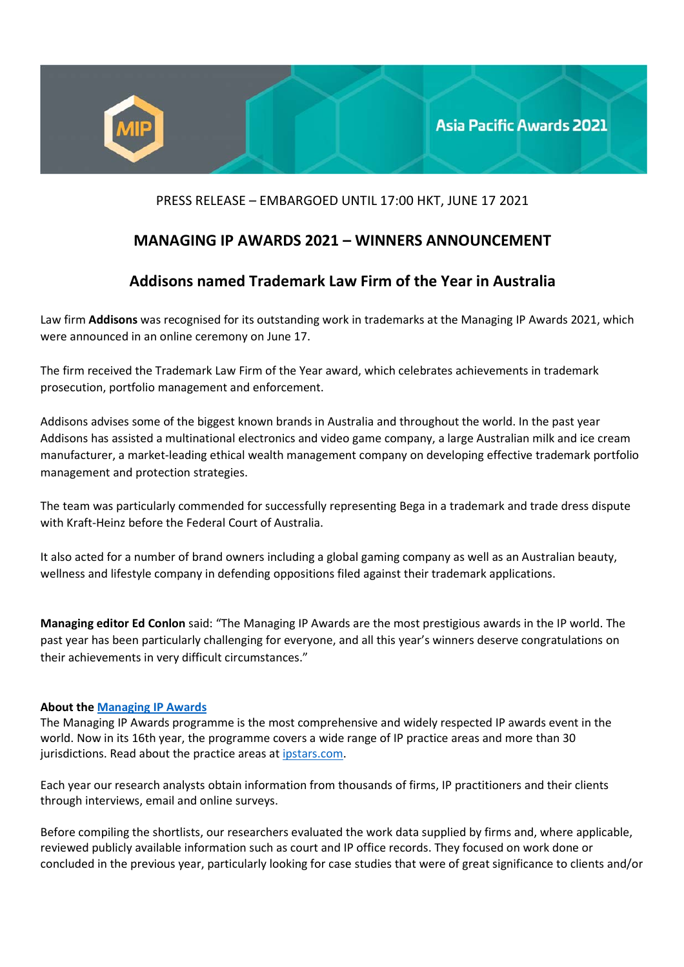

## PRESS RELEASE – EMBARGOED UNTIL 17:00 HKT, JUNE 17 2021

## **MANAGING IP AWARDS 2021 – WINNERS ANNOUNCEMENT**

## **Addisons named Trademark Law Firm of the Year in Australia**

Law firm **Addisons** was recognised for its outstanding work in trademarks at the Managing IP Awards 2021, which were announced in an online ceremony on June 17.

The firm received the Trademark Law Firm of the Year award, which celebrates achievements in trademark prosecution, portfolio management and enforcement.

Addisons advises some of the biggest known brands in Australia and throughout the world. In the past year Addisons has assisted a multinational electronics and video game company, a large Australian milk and ice cream manufacturer, a market-leading ethical wealth management company on developing effective trademark portfolio management and protection strategies.

The team was particularly commended for successfully representing Bega in a trademark and trade dress dispute with Kraft-Heinz before the Federal Court of Australia.

It also acted for a number of brand owners including a global gaming company as well as an Australian beauty, wellness and lifestyle company in defending oppositions filed against their trademark applications.

**Managing editor Ed Conlon** said: "The Managing IP Awards are the most prestigious awards in the IP world. The past year has been particularly challenging for everyone, and all this year's winners deserve congratulations on their achievements in very difficult circumstances."

## **About the Managing IP Awards**

The Managing IP Awards programme is the most comprehensive and widely respected IP awards event in the world. Now in its 16th year, the programme covers a wide range of IP practice areas and more than 30 jurisdictions. Read about the practice areas at ipstars.com.

Each year our research analysts obtain information from thousands of firms, IP practitioners and their clients through interviews, email and online surveys.

Before compiling the shortlists, our researchers evaluated the work data supplied by firms and, where applicable, reviewed publicly available information such as court and IP office records. They focused on work done or concluded in the previous year, particularly looking for case studies that were of great significance to clients and/or